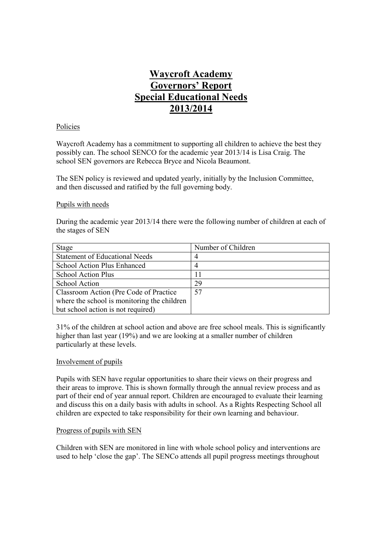# **Waycroft Academy Governors' Report Special Educational Needs 2013/2014**

#### Policies

Waycroft Academy has a commitment to supporting all children to achieve the best they possibly can. The school SENCO for the academic year 2013/14 is Lisa Craig. The school SEN governors are Rebecca Bryce and Nicola Beaumont.

The SEN policy is reviewed and updated yearly, initially by the Inclusion Committee, and then discussed and ratified by the full governing body.

#### Pupils with needs

During the academic year 2013/14 there were the following number of children at each of the stages of SEN

| Stage                                       | Number of Children |
|---------------------------------------------|--------------------|
| <b>Statement of Educational Needs</b>       | 4                  |
| School Action Plus Enhanced                 | 4                  |
| School Action Plus                          | 11                 |
| School Action                               | 29                 |
| Classroom Action (Pre Code of Practice)     | 57                 |
| where the school is monitoring the children |                    |
| but school action is not required)          |                    |

31% of the children at school action and above are free school meals. This is significantly higher than last year (19%) and we are looking at a smaller number of children particularly at these levels.

#### Involvement of pupils

Pupils with SEN have regular opportunities to share their views on their progress and their areas to improve. This is shown formally through the annual review process and as part of their end of year annual report. Children are encouraged to evaluate their learning and discuss this on a daily basis with adults in school. As a Rights Respecting School all children are expected to take responsibility for their own learning and behaviour.

#### Progress of pupils with SEN

Children with SEN are monitored in line with whole school policy and interventions are used to help 'close the gap'. The SENCo attends all pupil progress meetings throughout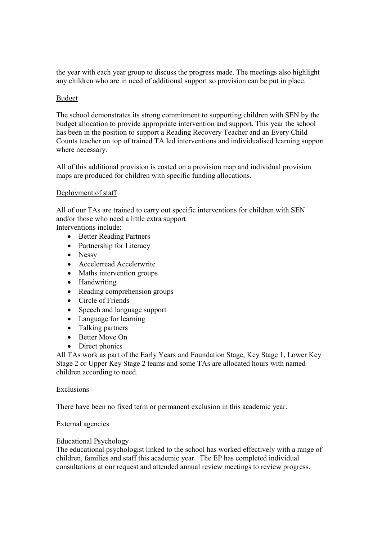the year with each year group to discuss the progress made. The meetings also highlight any children who are in need of additional support so provision can be put in place.

# Budget

The school demonstrates its strong commitment to supporting children with SEN by the budget allocation to provide appropriate intervention and support. This year the school has been in the position to support a Reading Recovery Teacher and an Every Child Counts teacher on top of trained TA led interventions and individualised learning support where necessary.

All of this additional provision is costed on a provision map and individual provision maps are produced for children with specific funding allocations.

# Deployment of staff

All of our TAs are trained to carry out specific interventions for children with SEN and/or those who need a little extra support Interventions include:

- Better Reading Partners
- Partnership for Literacy
- Nessy
- Accelerread Accelerwrite
- Maths intervention groups
- Handwriting
- Reading comprehension groups
- Circle of Friends
- Speech and language support
- Language for learning
- Talking partners
- Better Move On
- Direct phonics

All TAs work as part of the Early Years and Foundation Stage, Key Stage 1, Lower Key Stage 2 or Upper Key Stage 2 teams and some TAs are allocated hours with named children according to need.

## Exclusions

There have been no fixed term or permanent exclusion in this academic year.

## External agencies

## Educational Psychology

The educational psychologist linked to the school has worked effectively with a range of children, families and staff this academic year. The EP has completed individual consultations at our request and attended annual review meetings to review progress.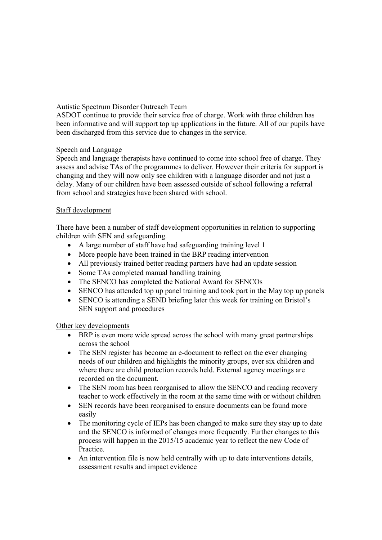Autistic Spectrum Disorder Outreach Team

ASDOT continue to provide their service free of charge. Work with three children has been informative and will support top up applications in the future. All of our pupils have been discharged from this service due to changes in the service.

# Speech and Language

Speech and language therapists have continued to come into school free of charge. They assess and advise TAs of the programmes to deliver. However their criteria for support is changing and they will now only see children with a language disorder and not just a delay. Many of our children have been assessed outside of school following a referral from school and strategies have been shared with school.

# Staff development

There have been a number of staff development opportunities in relation to supporting children with SEN and safeguarding.

- A large number of staff have had safeguarding training level 1
- More people have been trained in the BRP reading intervention
- All previously trained better reading partners have had an update session
- Some TAs completed manual handling training
- The SENCO has completed the National Award for SENCOs
- SENCO has attended top up panel training and took part in the May top up panels
- SENCO is attending a SEND briefing later this week for training on Bristol's SEN support and procedures

Other key developments

- BRP is even more wide spread across the school with many great partnerships across the school
- The SEN register has become an e-document to reflect on the ever changing needs of our children and highlights the minority groups, ever six children and where there are child protection records held. External agency meetings are recorded on the document.
- The SEN room has been reorganised to allow the SENCO and reading recovery teacher to work effectively in the room at the same time with or without children
- SEN records have been reorganised to ensure documents can be found more easily
- The monitoring cycle of IEPs has been changed to make sure they stay up to date and the SENCO is informed of changes more frequently. Further changes to this process will happen in the 2015/15 academic year to reflect the new Code of Practice.
- An intervention file is now held centrally with up to date interventions details, assessment results and impact evidence